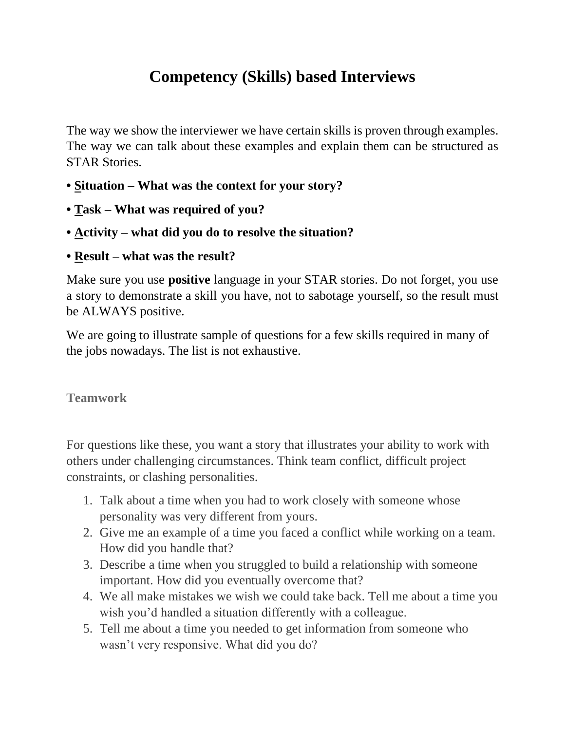## **Competency (Skills) based Interviews**

The way we show the interviewer we have certain skills is proven through examples. The way we can talk about these examples and explain them can be structured as STAR Stories.

- **Situation – What was the context for your story?**
- **Task – What was required of you?**
- **Activity – what did you do to resolve the situation?**
- **Result – what was the result?**

Make sure you use **positive** language in your STAR stories. Do not forget, you use a story to demonstrate a skill you have, not to sabotage yourself, so the result must be ALWAYS positive.

We are going to illustrate sample of questions for a few skills required in many of the jobs nowadays. The list is not exhaustive.

**Teamwork**

For questions like these, you want a story that illustrates your ability to work with others under challenging circumstances. Think team conflict, difficult project constraints, or clashing personalities.

- 1. Talk about a time when you had to work closely with someone whose personality was very different from yours.
- 2. Give me an example of a time you faced a conflict while working on a team. How did you handle that?
- 3. Describe a time when you struggled to build a relationship with someone important. How did you eventually overcome that?
- 4. We all make mistakes we wish we could take back. Tell me about a time you wish you'd handled a situation differently with a colleague.
- 5. Tell me about a time you needed to get information from someone who wasn't very responsive. What did you do?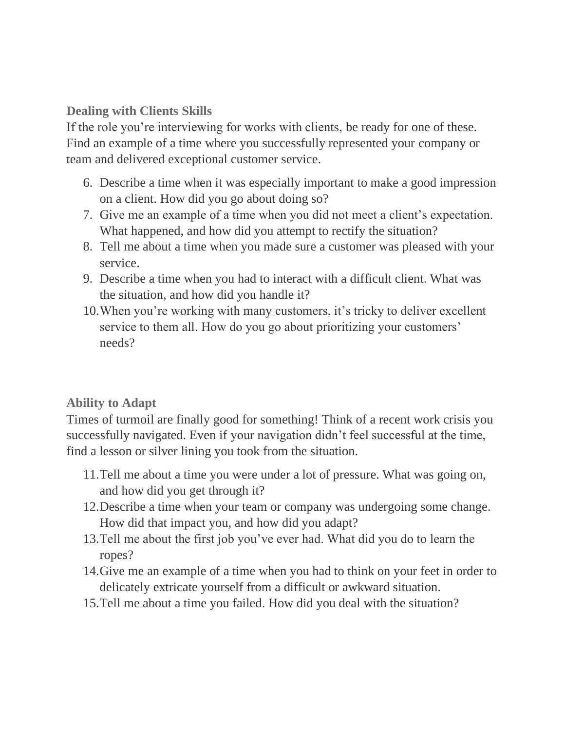## **Dealing with Clients Skills**

If the role you're interviewing for works with clients, be ready for one of these. Find an example of a time where you successfully represented your company or team and delivered exceptional customer service.

- 6. Describe a time when it was especially important to make a good impression on a client. How did you go about doing so?
- 7. Give me an example of a time when you did not meet a client's expectation. What happened, and how did you attempt to rectify the situation?
- 8. Tell me about a time when you made sure a customer was pleased with your service.
- 9. Describe a time when you had to interact with a difficult client. What was the situation, and how did you handle it?
- 10.When you're working with many customers, it's tricky to deliver excellent service to them all. How do you go about prioritizing your customers' needs?

## **Ability to Adapt**

Times of turmoil are finally good for something! Think of a recent work crisis you successfully navigated. Even if your navigation didn't feel successful at the time, find a lesson or silver lining you took from the situation.

- 11.Tell me about a time you were under a lot of pressure. What was going on, and how did you get through it?
- 12.Describe a time when your team or company was undergoing some change. How did that impact you, and how did you adapt?
- 13.Tell me about the first job you've ever had. What did you do to learn the ropes?
- 14.Give me an example of a time when you had to think on your feet in order to delicately extricate yourself from a difficult or awkward situation.
- 15.Tell me about a time you failed. How did you deal with the situation?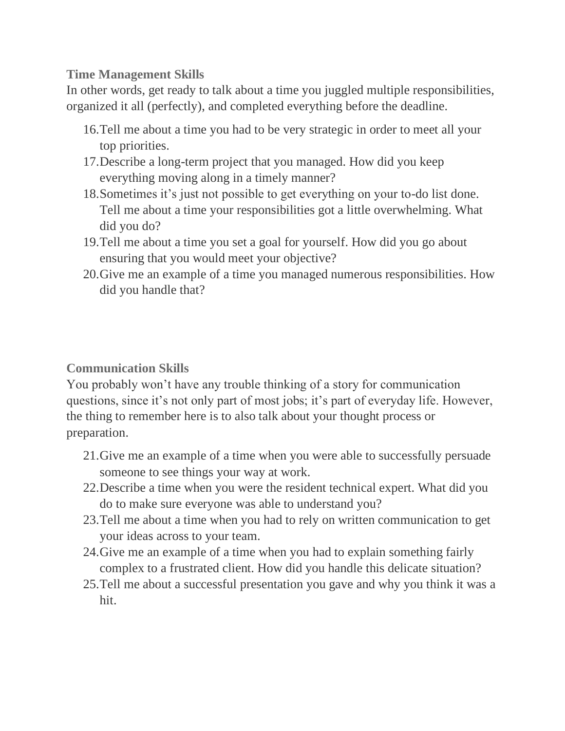**Time Management Skills**

In other words, get ready to talk about a time you juggled multiple responsibilities, organized it all (perfectly), and completed everything before the deadline.

- 16.Tell me about a time you had to be very strategic in order to meet all your top priorities.
- 17.Describe a long-term project that you managed. How did you keep everything moving along in a timely manner?
- 18.Sometimes it's just not possible to get everything on your to-do list done. Tell me about a time your responsibilities got a little overwhelming. What did you do?
- 19.Tell me about a time you set a goal for yourself. How did you go about ensuring that you would meet your objective?
- 20.Give me an example of a time you managed numerous responsibilities. How did you handle that?

## **Communication Skills**

You probably won't have any trouble thinking of a story for communication questions, since it's not only part of most jobs; it's part of everyday life. However, the thing to remember here is to also talk about your thought process or preparation.

- 21.Give me an example of a time when you were able to successfully persuade someone to see things your way at work.
- 22.Describe a time when you were the resident technical expert. What did you do to make sure everyone was able to understand you?
- 23.Tell me about a time when you had to rely on written communication to get your ideas across to your team.
- 24.Give me an example of a time when you had to explain something fairly complex to a frustrated client. How did you handle this delicate situation?
- 25.Tell me about a successful presentation you gave and why you think it was a hit.